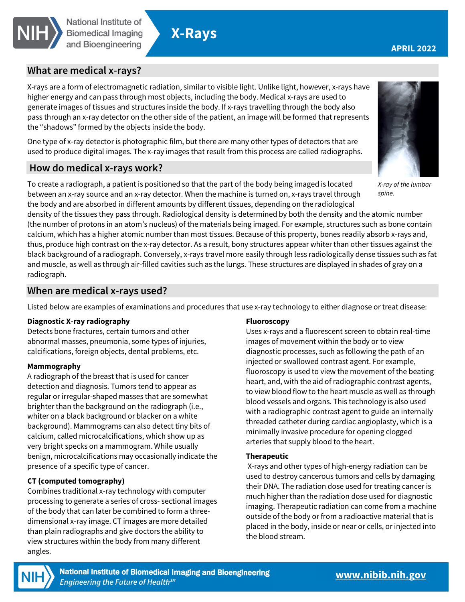

# **X-Rays**

## **What are medical x-rays?**

X-rays are a form of electromagnetic radiation, similar to visible light. Unlike light, however, x-rays have higher energy and can pass through most objects, including the body. Medical x-rays are used to generate images of tissues and structures inside the body. If x-rays travelling through the body also pass through an x-ray detector on the other side of the patient, an image will be formed that represents the "shadows" formed by the objects inside the body.

One type of x-ray detector is photographic film, but there are many other types of detectors that are used to produce digital images. The x-ray images that result from this process are called radiographs.

## **How do medical x-rays work?**

To create a radiograph, a patient is positioned so that the part of the body being imaged is located between an x-ray source and an x-ray detector. When the machine is turned on, x-rays travel through the body and are absorbed in different amounts by different tissues, depending on the radiological



X-ray of the lumbar spine.

density of the tissues they pass through. Radiological density is determined by both the density and the atomic number (the number of protons in an atom's nucleus) of the materials being imaged. For example, structures such as bone contain calcium, which has a higher atomic number than most tissues. Because of this property, bones readily absorb x-rays and, thus, produce high contrast on the x-ray detector. As a result, bony structures appear whiter than other tissues against the black background of a radiograph. Conversely, x-rays travel more easily through less radiologically dense tissues such as fat and muscle, as well as through air-filled cavities such as the lungs. These structures are displayed in shades of gray on a radiograph.

## **When are medical x-rays used?**

Listed below are examples of examinations and procedures that use x-ray technology to either diagnose or treat disease:

### **Diagnostic X-ray radiography**

Detects bone fractures, certain tumors and other abnormal masses, pneumonia, some types of injuries, calcifications, foreign objects, dental problems, etc.

#### **Mammography**

A radiograph of the breast that is used for cancer detection and diagnosis. Tumors tend to appear as regular or irregular-shaped masses that are somewhat brighter than the background on the radiograph (i.e., whiter on a black background or blacker on a white background). Mammograms can also detect tiny bits of calcium, called microcalcifications, which show up as very bright specks on a mammogram. While usually benign, microcalcifications may occasionally indicate the presence of a specific type of cancer.

## **CT (computed tomography)**

Combines traditional x-ray technology with computer processing to generate a series of cross- sectional images of the body that can later be combined to form a threedimensional x-ray image. CT images are more detailed than plain radiographs and give doctors the ability to view structures within the body from many different angles.

#### **Fluoroscopy**

Uses x-rays and a fluorescent screen to obtain real-time images of movement within the body or to view diagnostic processes, such as following the path of an injected or swallowed contrast agent. For example, fluoroscopy is used to view the movement of the beating heart, and, with the aid of radiographic contrast agents, to view blood flow to the heart muscle as well as through blood vessels and organs. This technology is also used with a radiographic contrast agent to guide an internally threaded catheter during cardiac angioplasty, which is a minimally invasive procedure for opening clogged arteries that supply blood to the heart.

### **Therapeutic**

X-rays and other types of high-energy radiation can be used to destroy cancerous tumors and cells by damaging their DNA. The radiation dose used for treating cancer is much higher than the radiation dose used for diagnostic imaging. Therapeutic radiation can come from a machine outside of the body or from a radioactive material that is placed in the body, inside or near or cells, or injected into the blood stream.